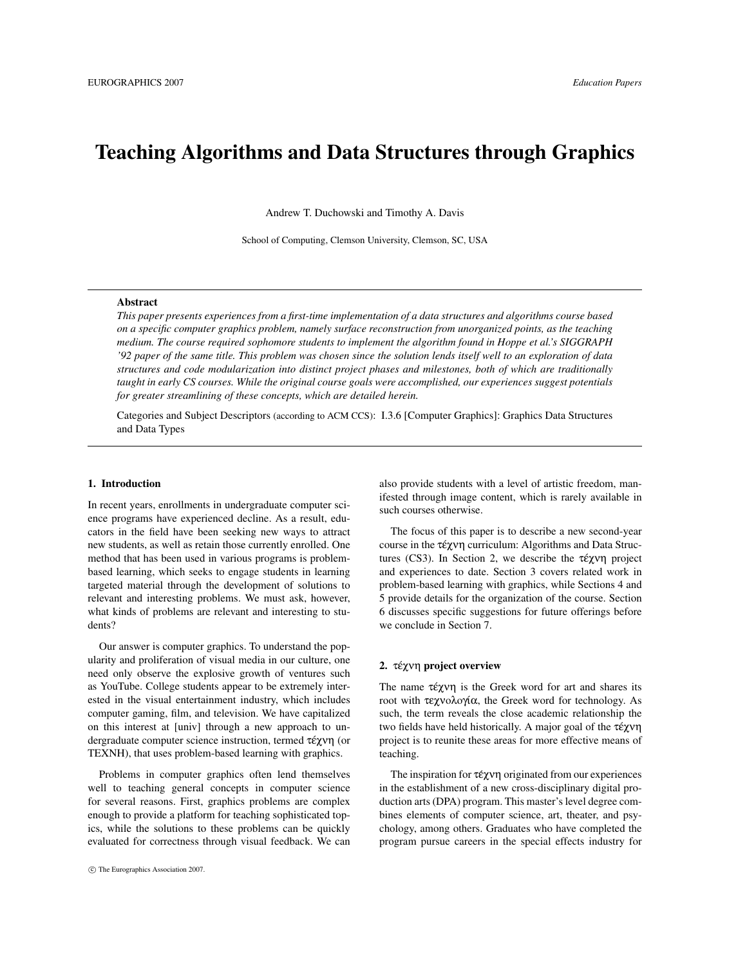# Teaching Algorithms and Data Structures through Graphics

Andrew T. Duchowski and Timothy A. Davis

School of Computing, Clemson University, Clemson, SC, USA

# Abstract

*This paper presents experiences from a first-time implementation of a data structures and algorithms course based on a specific computer graphics problem, namely surface reconstruction from unorganized points, as the teaching medium. The course required sophomore students to implement the algorithm found in Hoppe et al.'s SIGGRAPH '92 paper of the same title. This problem was chosen since the solution lends itself well to an exploration of data structures and code modularization into distinct project phases and milestones, both of which are traditionally taught in early CS courses. While the original course goals were accomplished, our experiences suggest potentials for greater streamlining of these concepts, which are detailed herein.*

Categories and Subject Descriptors (according to ACM CCS): I.3.6 [Computer Graphics]: Graphics Data Structures and Data Types

# 1. Introduction

In recent years, enrollments in undergraduate computer science programs have experienced decline. As a result, educators in the field have been seeking new ways to attract new students, as well as retain those currently enrolled. One method that has been used in various programs is problembased learning, which seeks to engage students in learning targeted material through the development of solutions to relevant and interesting problems. We must ask, however, what kinds of problems are relevant and interesting to students?

Our answer is computer graphics. To understand the popularity and proliferation of visual media in our culture, one need only observe the explosive growth of ventures such as YouTube. College students appear to be extremely interested in the visual entertainment industry, which includes computer gaming, film, and television. We have capitalized on this interest at [univ] through a new approach to undergraduate computer science instruction, termed  $\tau \notin \gamma \vee \eta$  (or TEXNH), that uses problem-based learning with graphics.

Problems in computer graphics often lend themselves well to teaching general concepts in computer science for several reasons. First, graphics problems are complex enough to provide a platform for teaching sophisticated topics, while the solutions to these problems can be quickly evaluated for correctness through visual feedback. We can also provide students with a level of artistic freedom, manifested through image content, which is rarely available in such courses otherwise.

The focus of this paper is to describe a new second-year course in the τέχνη curriculum: Algorithms and Data Structures (CS3). In Section 2, we describe the τέχνη project and experiences to date. Section 3 covers related work in problem-based learning with graphics, while Sections 4 and 5 provide details for the organization of the course. Section 6 discusses specific suggestions for future offerings before we conclude in Section 7.

## 2. τέχνη project overview

The name  $\tau \in \chi \lor \eta$  is the Greek word for art and shares its root with τεχνολογία, the Greek word for technology. As such, the term reveals the close academic relationship the two fields have held historically. A major goal of the τεχνη ´ project is to reunite these areas for more effective means of teaching.

The inspiration for  $\tau \notin \gamma \vee \eta$  originated from our experiences in the establishment of a new cross-disciplinary digital production arts (DPA) program. This master's level degree combines elements of computer science, art, theater, and psychology, among others. Graduates who have completed the program pursue careers in the special effects industry for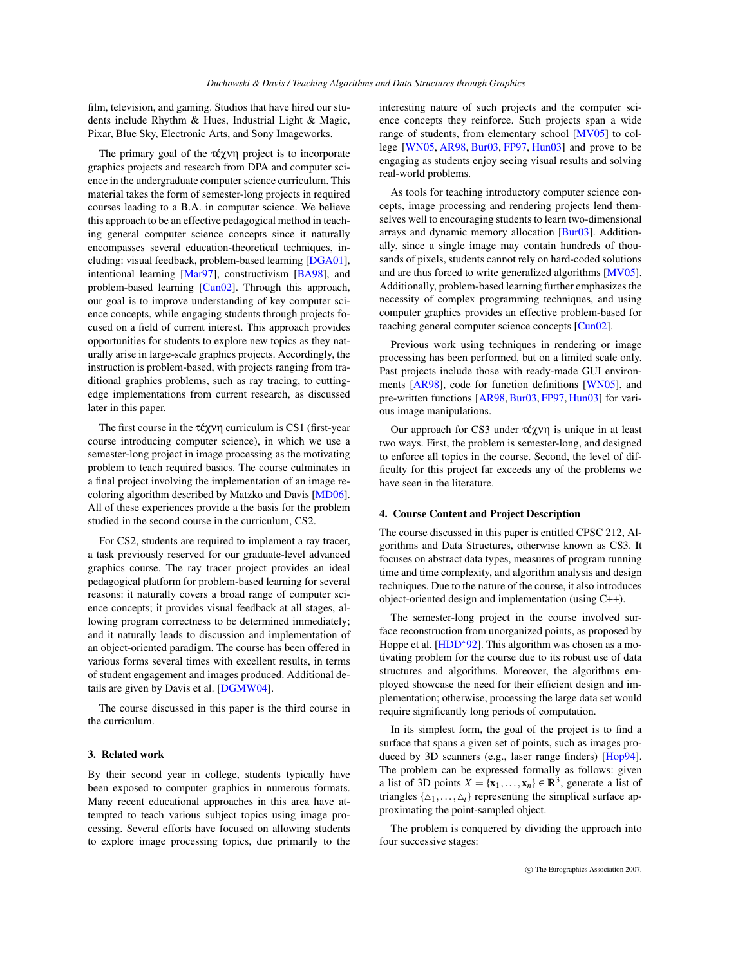film, television, and gaming. Studios that have hired our students include Rhythm & Hues, Industrial Light & Magic, Pixar, Blue Sky, Electronic Arts, and Sony Imageworks.

The primary goal of the  $\tau \in \chi \vee \eta$  project is to incorporate graphics projects and research from DPA and computer science in the undergraduate computer science curriculum. This material takes the form of semester-long projects in required courses leading to a B.A. in computer science. We believe this approach to be an effective pedagogical method in teaching general computer science concepts since it naturally encompasses several education-theoretical techniques, including: visual feedback, problem-based learning [\[DGA01\]](#page-6-0), intentional learning [\[Mar97\]](#page-6-1), constructivism [\[BA98\]](#page-6-2), and problem-based learning [\[Cun02\]](#page-6-3). Through this approach, our goal is to improve understanding of key computer science concepts, while engaging students through projects focused on a field of current interest. This approach provides opportunities for students to explore new topics as they naturally arise in large-scale graphics projects. Accordingly, the instruction is problem-based, with projects ranging from traditional graphics problems, such as ray tracing, to cuttingedge implementations from current research, as discussed later in this paper.

The first course in the  $\tau \notin \gamma \vee \eta$  curriculum is CS1 (first-year course introducing computer science), in which we use a semester-long project in image processing as the motivating problem to teach required basics. The course culminates in a final project involving the implementation of an image recoloring algorithm described by Matzko and Davis [\[MD06\]](#page-6-4). All of these experiences provide a the basis for the problem studied in the second course in the curriculum, CS2.

For CS2, students are required to implement a ray tracer, a task previously reserved for our graduate-level advanced graphics course. The ray tracer project provides an ideal pedagogical platform for problem-based learning for several reasons: it naturally covers a broad range of computer science concepts; it provides visual feedback at all stages, allowing program correctness to be determined immediately; and it naturally leads to discussion and implementation of an object-oriented paradigm. The course has been offered in various forms several times with excellent results, in terms of student engagement and images produced. Additional details are given by Davis et al. [\[DGMW04\]](#page-6-5).

The course discussed in this paper is the third course in the curriculum.

## 3. Related work

By their second year in college, students typically have been exposed to computer graphics in numerous formats. Many recent educational approaches in this area have attempted to teach various subject topics using image processing. Several efforts have focused on allowing students to explore image processing topics, due primarily to the interesting nature of such projects and the computer science concepts they reinforce. Such projects span a wide range of students, from elementary school [\[MV05\]](#page-6-6) to college [\[WN05,](#page-7-0) [AR98,](#page-6-7) [Bur03,](#page-6-8) [FP97,](#page-6-9) [Hun03\]](#page-6-10) and prove to be engaging as students enjoy seeing visual results and solving real-world problems.

As tools for teaching introductory computer science concepts, image processing and rendering projects lend themselves well to encouraging students to learn two-dimensional arrays and dynamic memory allocation [\[Bur03\]](#page-6-8). Additionally, since a single image may contain hundreds of thousands of pixels, students cannot rely on hard-coded solutions and are thus forced to write generalized algorithms [\[MV05\]](#page-6-6). Additionally, problem-based learning further emphasizes the necessity of complex programming techniques, and using computer graphics provides an effective problem-based for teaching general computer science concepts [\[Cun02\]](#page-6-3).

Previous work using techniques in rendering or image processing has been performed, but on a limited scale only. Past projects include those with ready-made GUI environments [\[AR98\]](#page-6-7), code for function definitions [\[WN05\]](#page-7-0), and pre-written functions [\[AR98,](#page-6-7) [Bur03,](#page-6-8) [FP97,](#page-6-9) [Hun03\]](#page-6-10) for various image manipulations.

Our approach for CS3 under τέχνη is unique in at least two ways. First, the problem is semester-long, and designed to enforce all topics in the course. Second, the level of difficulty for this project far exceeds any of the problems we have seen in the literature.

## 4. Course Content and Project Description

The course discussed in this paper is entitled CPSC 212, Algorithms and Data Structures, otherwise known as CS3. It focuses on abstract data types, measures of program running time and time complexity, and algorithm analysis and design techniques. Due to the nature of the course, it also introduces object-oriented design and implementation (using C++).

The semester-long project in the course involved surface reconstruction from unorganized points, as proposed by Hoppe et al. [\[HDD](#page-6-11)<sup>\*92]</sup>. This algorithm was chosen as a motivating problem for the course due to its robust use of data structures and algorithms. Moreover, the algorithms employed showcase the need for their efficient design and implementation; otherwise, processing the large data set would require significantly long periods of computation.

In its simplest form, the goal of the project is to find a surface that spans a given set of points, such as images produced by 3D scanners (e.g., laser range finders) [\[Hop94\]](#page-6-12). The problem can be expressed formally as follows: given a list of 3D points  $X = \{x_1, \ldots, x_n\} \in \mathbb{R}^3$ , generate a list of triangles  $\{\Delta_1, \ldots, \Delta_t\}$  representing the simplical surface approximating the point-sampled object.

The problem is conquered by dividing the approach into four successive stages: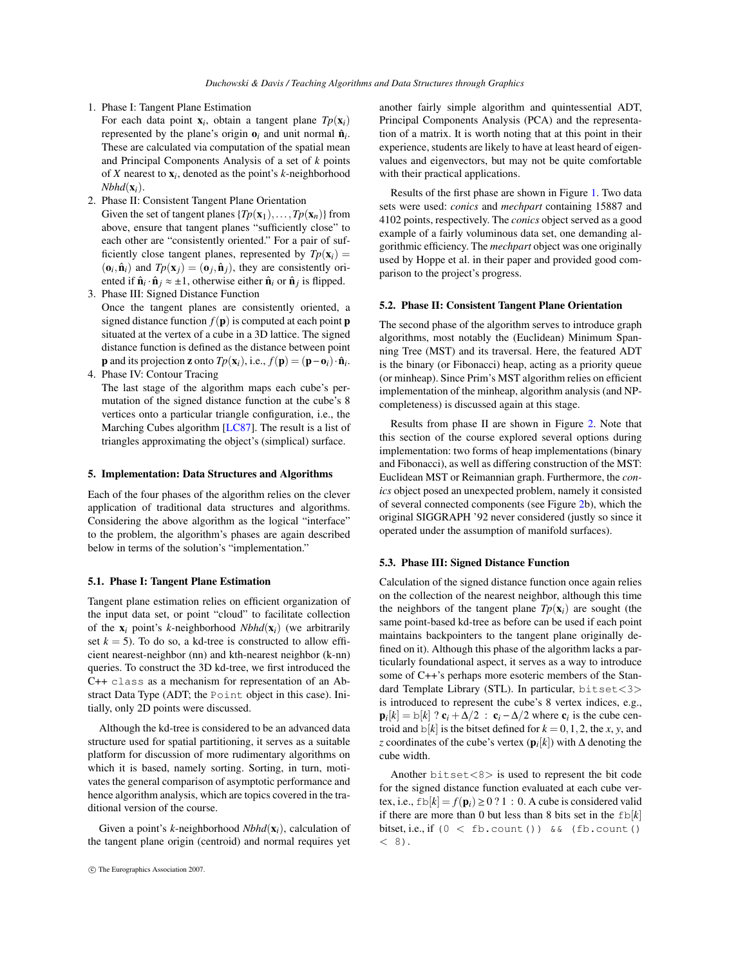- 1. Phase I: Tangent Plane Estimation
- For each data point x*i* , obtain a tangent plane *Tp*(x*i*) represented by the plane's origin  $\mathbf{o}_i$  and unit normal  $\hat{\mathbf{n}}_i$ . These are calculated via computation of the spatial mean and Principal Components Analysis of a set of *k* points of *X* nearest to x*i* , denoted as the point's *k*-neighborhood  $Nbhd(\mathbf{x}_i)$ .
- 2. Phase II: Consistent Tangent Plane Orientation

Given the set of tangent planes  $\{Tp(\mathbf{x}_1),...,Tp(\mathbf{x}_n)\}$  from above, ensure that tangent planes "sufficiently close" to each other are "consistently oriented." For a pair of sufficiently close tangent planes, represented by  $T_p(\mathbf{x}_i) =$  $(o_i, \hat{\mathbf{n}}_i)$  and  $Tp(\mathbf{x}_j) = (o_j, \hat{\mathbf{n}}_j)$ , they are consistently oriented if  $\hat{\mathbf{n}}_i \cdot \hat{\mathbf{n}}_j \approx \pm 1$ , otherwise either  $\hat{\mathbf{n}}_i$  or  $\hat{\mathbf{n}}_j$  is flipped.

- 3. Phase III: Signed Distance Function Once the tangent planes are consistently oriented, a signed distance function  $f(\mathbf{p})$  is computed at each point **p** situated at the vertex of a cube in a 3D lattice. The signed distance function is defined as the distance between point **p** and its projection **z** onto  $Tp(\mathbf{x}_i)$ , i.e.,  $f(\mathbf{p}) = (\mathbf{p} - \mathbf{o}_i) \cdot \hat{\mathbf{n}}_i$ .
- 4. Phase IV: Contour Tracing
	- The last stage of the algorithm maps each cube's permutation of the signed distance function at the cube's 8 vertices onto a particular triangle configuration, i.e., the Marching Cubes algorithm [\[LC87\]](#page-6-13). The result is a list of triangles approximating the object's (simplical) surface.

#### 5. Implementation: Data Structures and Algorithms

Each of the four phases of the algorithm relies on the clever application of traditional data structures and algorithms. Considering the above algorithm as the logical "interface" to the problem, the algorithm's phases are again described below in terms of the solution's "implementation."

## 5.1. Phase I: Tangent Plane Estimation

Tangent plane estimation relies on efficient organization of the input data set, or point "cloud" to facilitate collection of the  $x_i$  point's *k*-neighborhood *Nbhd*( $x_i$ ) (we arbitrarily set  $k = 5$ ). To do so, a kd-tree is constructed to allow efficient nearest-neighbor (nn) and kth-nearest neighbor (k-nn) queries. To construct the 3D kd-tree, we first introduced the C++ class as a mechanism for representation of an Abstract Data Type (ADT; the Point object in this case). Initially, only 2D points were discussed.

Although the kd-tree is considered to be an advanced data structure used for spatial partitioning, it serves as a suitable platform for discussion of more rudimentary algorithms on which it is based, namely sorting. Sorting, in turn, motivates the general comparison of asymptotic performance and hence algorithm analysis, which are topics covered in the traditional version of the course.

Given a point's *k*-neighborhood *Nbhd*(x*i*), calculation of the tangent plane origin (centroid) and normal requires yet another fairly simple algorithm and quintessential ADT, Principal Components Analysis (PCA) and the representation of a matrix. It is worth noting that at this point in their experience, students are likely to have at least heard of eigenvalues and eigenvectors, but may not be quite comfortable with their practical applications.

Results of the first phase are shown in Figure [1.](#page-3-0) Two data sets were used: *conics* and *mechpart* containing 15887 and 4102 points, respectively. The *conics* object served as a good example of a fairly voluminous data set, one demanding algorithmic efficiency. The *mechpart* object was one originally used by Hoppe et al. in their paper and provided good comparison to the project's progress.

#### 5.2. Phase II: Consistent Tangent Plane Orientation

The second phase of the algorithm serves to introduce graph algorithms, most notably the (Euclidean) Minimum Spanning Tree (MST) and its traversal. Here, the featured ADT is the binary (or Fibonacci) heap, acting as a priority queue (or minheap). Since Prim's MST algorithm relies on efficient implementation of the minheap, algorithm analysis (and NPcompleteness) is discussed again at this stage.

Results from phase II are shown in Figure [2.](#page-3-1) Note that this section of the course explored several options during implementation: two forms of heap implementations (binary and Fibonacci), as well as differing construction of the MST: Euclidean MST or Reimannian graph. Furthermore, the *conics* object posed an unexpected problem, namely it consisted of several connected components (see Figure [2b](#page-3-1)), which the original SIGGRAPH '92 never considered (justly so since it operated under the assumption of manifold surfaces).

# 5.3. Phase III: Signed Distance Function

Calculation of the signed distance function once again relies on the collection of the nearest neighbor, although this time the neighbors of the tangent plane  $Tp(\mathbf{x}_i)$  are sought (the same point-based kd-tree as before can be used if each point maintains backpointers to the tangent plane originally defined on it). Although this phase of the algorithm lacks a particularly foundational aspect, it serves as a way to introduce some of C++'s perhaps more esoteric members of the Standard Template Library (STL). In particular, bitset<3> is introduced to represent the cube's 8 vertex indices, e.g.,  $\mathbf{p}_i[k] = \mathrm{b}[k]$  ?  $\mathbf{c}_i + \Delta/2$  :  $\mathbf{c}_i - \Delta/2$  where  $\mathbf{c}_i$  is the cube centroid and  $\phi[k]$  is the bitset defined for  $k = 0, 1, 2$ , the *x*, *y*, and *z* coordinates of the cube's vertex (p*i* [*k*]) with ∆ denoting the cube width.

Another bitset<8> is used to represent the bit code for the signed distance function evaluated at each cube vertex, i.e.,  $f\text{b}[k] = f(\mathbf{p}_i) \geq 0$  ? 1 : 0. A cube is considered valid if there are more than 0 but less than 8 bits set in the  $fb[k]$ bitset, i.e., if  $(0 <$  fb.count ()) && (fb.count ()  $(8)$ .

c The Eurographics Association 2007.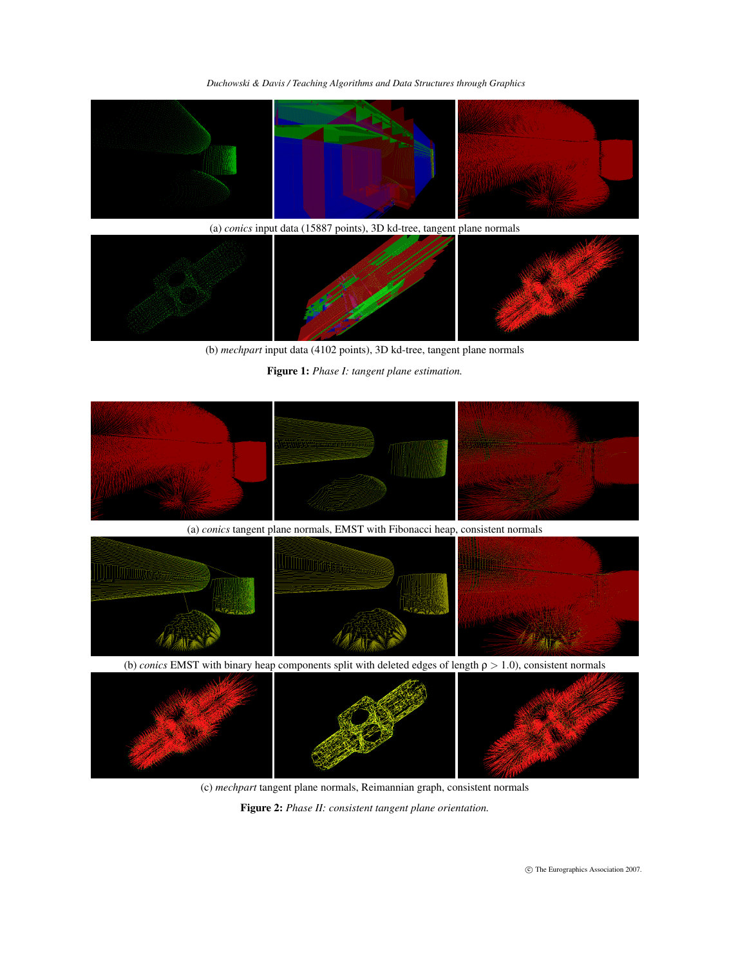

(a) *conics* input data (15887 points), 3D kd-tree, tangent plane normals



(b) *mechpart* input data (4102 points), 3D kd-tree, tangent plane normals

<span id="page-3-0"></span>Figure 1: *Phase I: tangent plane estimation.*



(c) *mechpart* tangent plane normals, Reimannian graph, consistent normals

<span id="page-3-1"></span>Figure 2: *Phase II: consistent tangent plane orientation.*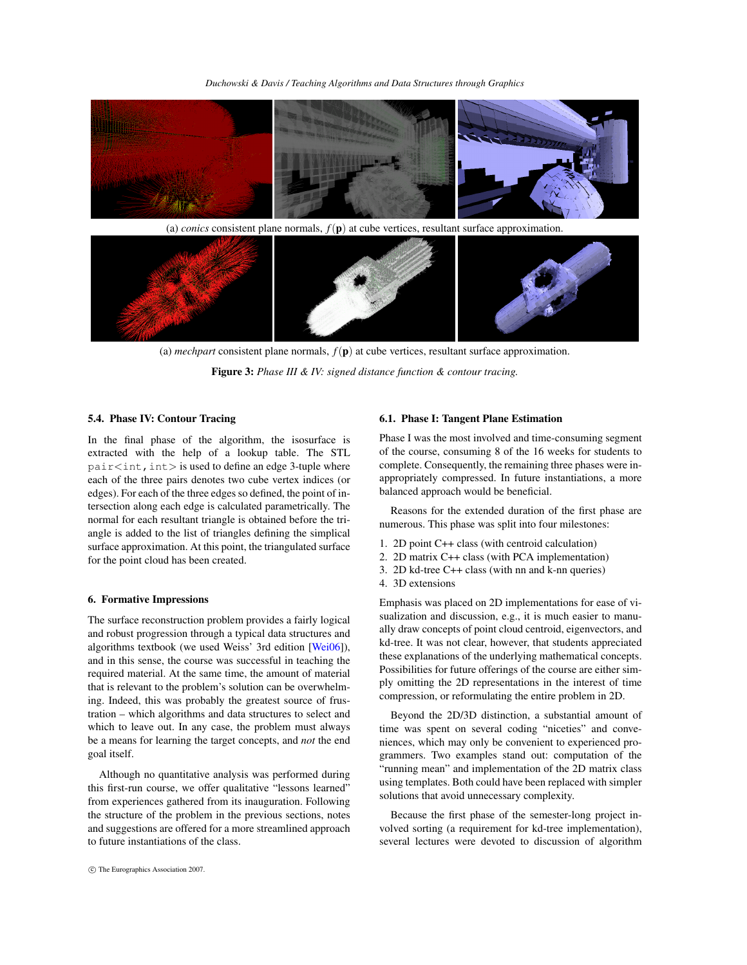

(a) *conics* consistent plane normals,  $f(\mathbf{p})$  at cube vertices, resultant surface approximation.



(a) *mechpart* consistent plane normals,  $f(\mathbf{p})$  at cube vertices, resultant surface approximation. Figure 3: *Phase III & IV: signed distance function & contour tracing.*

## 5.4. Phase IV: Contour Tracing

In the final phase of the algorithm, the isosurface is extracted with the help of a lookup table. The STL  $pair\langle int, int \rangle$  is used to define an edge 3-tuple where each of the three pairs denotes two cube vertex indices (or edges). For each of the three edges so defined, the point of intersection along each edge is calculated parametrically. The normal for each resultant triangle is obtained before the triangle is added to the list of triangles defining the simplical surface approximation. At this point, the triangulated surface for the point cloud has been created.

#### 6. Formative Impressions

The surface reconstruction problem provides a fairly logical and robust progression through a typical data structures and algorithms textbook (we used Weiss' 3rd edition [\[Wei06\]](#page-6-14)), and in this sense, the course was successful in teaching the required material. At the same time, the amount of material that is relevant to the problem's solution can be overwhelming. Indeed, this was probably the greatest source of frustration – which algorithms and data structures to select and which to leave out. In any case, the problem must always be a means for learning the target concepts, and *not* the end goal itself.

Although no quantitative analysis was performed during this first-run course, we offer qualitative "lessons learned" from experiences gathered from its inauguration. Following the structure of the problem in the previous sections, notes and suggestions are offered for a more streamlined approach to future instantiations of the class.

# 6.1. Phase I: Tangent Plane Estimation

Phase I was the most involved and time-consuming segment of the course, consuming 8 of the 16 weeks for students to complete. Consequently, the remaining three phases were inappropriately compressed. In future instantiations, a more balanced approach would be beneficial.

Reasons for the extended duration of the first phase are numerous. This phase was split into four milestones:

- 1. 2D point C++ class (with centroid calculation)
- 2. 2D matrix C++ class (with PCA implementation)
- 3. 2D kd-tree C++ class (with nn and k-nn queries)
- 4. 3D extensions

Emphasis was placed on 2D implementations for ease of visualization and discussion, e.g., it is much easier to manually draw concepts of point cloud centroid, eigenvectors, and kd-tree. It was not clear, however, that students appreciated these explanations of the underlying mathematical concepts. Possibilities for future offerings of the course are either simply omitting the 2D representations in the interest of time compression, or reformulating the entire problem in 2D.

Beyond the 2D/3D distinction, a substantial amount of time was spent on several coding "niceties" and conveniences, which may only be convenient to experienced programmers. Two examples stand out: computation of the "running mean" and implementation of the 2D matrix class using templates. Both could have been replaced with simpler solutions that avoid unnecessary complexity.

Because the first phase of the semester-long project involved sorting (a requirement for kd-tree implementation), several lectures were devoted to discussion of algorithm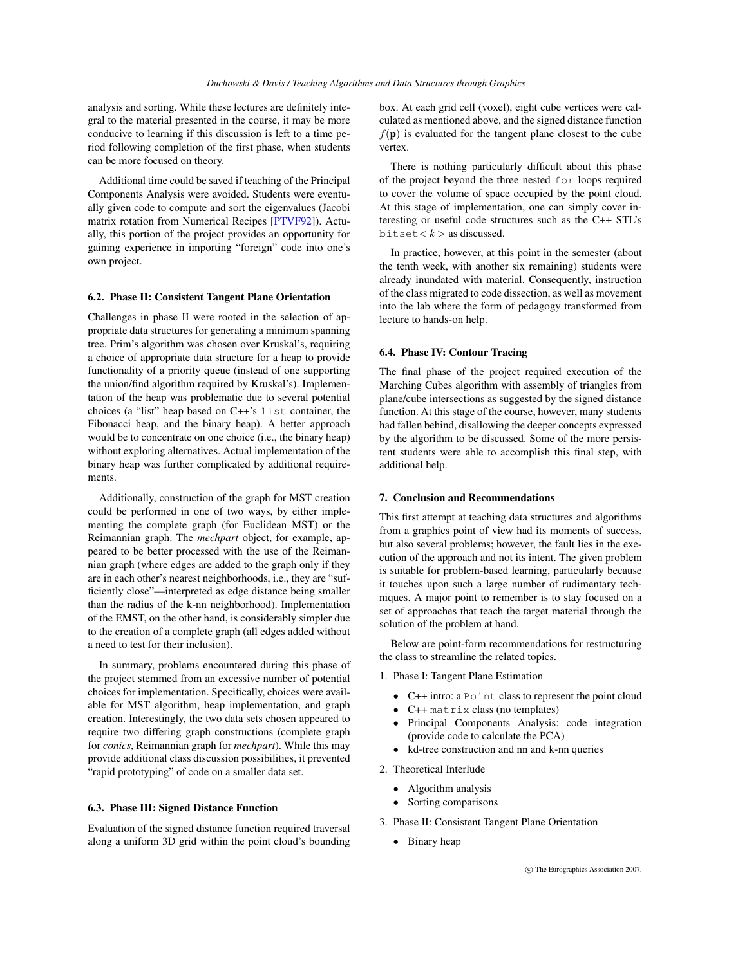analysis and sorting. While these lectures are definitely integral to the material presented in the course, it may be more conducive to learning if this discussion is left to a time period following completion of the first phase, when students can be more focused on theory.

Additional time could be saved if teaching of the Principal Components Analysis were avoided. Students were eventually given code to compute and sort the eigenvalues (Jacobi matrix rotation from Numerical Recipes [\[PTVF92\]](#page-6-15)). Actually, this portion of the project provides an opportunity for gaining experience in importing "foreign" code into one's own project.

# 6.2. Phase II: Consistent Tangent Plane Orientation

Challenges in phase II were rooted in the selection of appropriate data structures for generating a minimum spanning tree. Prim's algorithm was chosen over Kruskal's, requiring a choice of appropriate data structure for a heap to provide functionality of a priority queue (instead of one supporting the union/find algorithm required by Kruskal's). Implementation of the heap was problematic due to several potential choices (a "list" heap based on C++'s list container, the Fibonacci heap, and the binary heap). A better approach would be to concentrate on one choice (i.e., the binary heap) without exploring alternatives. Actual implementation of the binary heap was further complicated by additional requirements.

Additionally, construction of the graph for MST creation could be performed in one of two ways, by either implementing the complete graph (for Euclidean MST) or the Reimannian graph. The *mechpart* object, for example, appeared to be better processed with the use of the Reimannian graph (where edges are added to the graph only if they are in each other's nearest neighborhoods, i.e., they are "sufficiently close"—interpreted as edge distance being smaller than the radius of the k-nn neighborhood). Implementation of the EMST, on the other hand, is considerably simpler due to the creation of a complete graph (all edges added without a need to test for their inclusion).

In summary, problems encountered during this phase of the project stemmed from an excessive number of potential choices for implementation. Specifically, choices were available for MST algorithm, heap implementation, and graph creation. Interestingly, the two data sets chosen appeared to require two differing graph constructions (complete graph for *conics*, Reimannian graph for *mechpart*). While this may provide additional class discussion possibilities, it prevented "rapid prototyping" of code on a smaller data set.

## 6.3. Phase III: Signed Distance Function

Evaluation of the signed distance function required traversal along a uniform 3D grid within the point cloud's bounding box. At each grid cell (voxel), eight cube vertices were calculated as mentioned above, and the signed distance function  $f(\mathbf{p})$  is evaluated for the tangent plane closest to the cube vertex.

There is nothing particularly difficult about this phase of the project beyond the three nested for loops required to cover the volume of space occupied by the point cloud. At this stage of implementation, one can simply cover interesting or useful code structures such as the C++ STL's  $bitset < k >$  as discussed.

In practice, however, at this point in the semester (about the tenth week, with another six remaining) students were already inundated with material. Consequently, instruction of the class migrated to code dissection, as well as movement into the lab where the form of pedagogy transformed from lecture to hands-on help.

# 6.4. Phase IV: Contour Tracing

The final phase of the project required execution of the Marching Cubes algorithm with assembly of triangles from plane/cube intersections as suggested by the signed distance function. At this stage of the course, however, many students had fallen behind, disallowing the deeper concepts expressed by the algorithm to be discussed. Some of the more persistent students were able to accomplish this final step, with additional help.

#### 7. Conclusion and Recommendations

This first attempt at teaching data structures and algorithms from a graphics point of view had its moments of success, but also several problems; however, the fault lies in the execution of the approach and not its intent. The given problem is suitable for problem-based learning, particularly because it touches upon such a large number of rudimentary techniques. A major point to remember is to stay focused on a set of approaches that teach the target material through the solution of the problem at hand.

Below are point-form recommendations for restructuring the class to streamline the related topics.

- 1. Phase I: Tangent Plane Estimation
	- C++ intro: a Point class to represent the point cloud
	- C++ matrix class (no templates)
	- Principal Components Analysis: code integration (provide code to calculate the PCA)
	- kd-tree construction and nn and k-nn queries
- 2. Theoretical Interlude
	- Algorithm analysis
	- Sorting comparisons
- 3. Phase II: Consistent Tangent Plane Orientation
	- Binary heap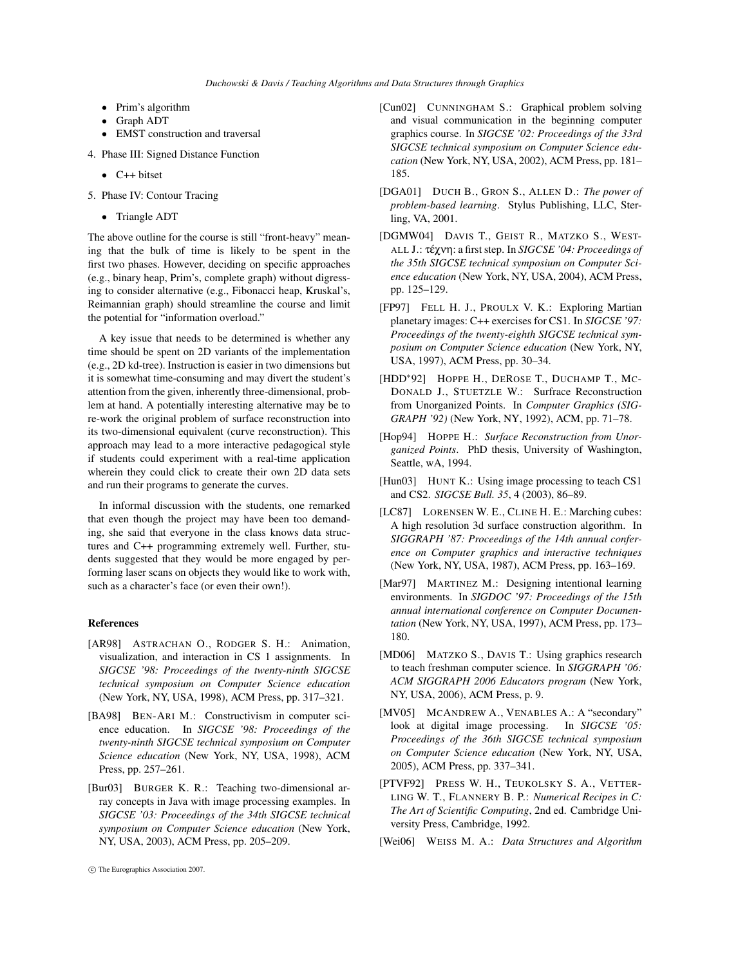- Prim's algorithm
- Graph ADT
- EMST construction and traversal
- 4. Phase III: Signed Distance Function
	- $\bullet$  C++ bitset
- 5. Phase IV: Contour Tracing
	- Triangle ADT

The above outline for the course is still "front-heavy" meaning that the bulk of time is likely to be spent in the first two phases. However, deciding on specific approaches (e.g., binary heap, Prim's, complete graph) without digressing to consider alternative (e.g., Fibonacci heap, Kruskal's, Reimannian graph) should streamline the course and limit the potential for "information overload."

A key issue that needs to be determined is whether any time should be spent on 2D variants of the implementation (e.g., 2D kd-tree). Instruction is easier in two dimensions but it is somewhat time-consuming and may divert the student's attention from the given, inherently three-dimensional, problem at hand. A potentially interesting alternative may be to re-work the original problem of surface reconstruction into its two-dimensional equivalent (curve reconstruction). This approach may lead to a more interactive pedagogical style if students could experiment with a real-time application wherein they could click to create their own 2D data sets and run their programs to generate the curves.

In informal discussion with the students, one remarked that even though the project may have been too demanding, she said that everyone in the class knows data structures and C++ programming extremely well. Further, students suggested that they would be more engaged by performing laser scans on objects they would like to work with, such as a character's face (or even their own!).

## References

- <span id="page-6-7"></span>[AR98] ASTRACHAN O., RODGER S. H.: Animation, visualization, and interaction in CS 1 assignments. In *SIGCSE '98: Proceedings of the twenty-ninth SIGCSE technical symposium on Computer Science education* (New York, NY, USA, 1998), ACM Press, pp. 317–321.
- <span id="page-6-2"></span>[BA98] BEN-ARI M.: Constructivism in computer science education. In *SIGCSE '98: Proceedings of the twenty-ninth SIGCSE technical symposium on Computer Science education* (New York, NY, USA, 1998), ACM Press, pp. 257–261.
- <span id="page-6-8"></span>[Bur03] BURGER K. R.: Teaching two-dimensional array concepts in Java with image processing examples. In *SIGCSE '03: Proceedings of the 34th SIGCSE technical symposium on Computer Science education* (New York, NY, USA, 2003), ACM Press, pp. 205–209.
- <span id="page-6-3"></span>[Cun02] CUNNINGHAM S.: Graphical problem solving and visual communication in the beginning computer graphics course. In *SIGCSE '02: Proceedings of the 33rd SIGCSE technical symposium on Computer Science education* (New York, NY, USA, 2002), ACM Press, pp. 181– 185.
- <span id="page-6-0"></span>[DGA01] DUCH B., GRON S., ALLEN D.: *The power of problem-based learning*. Stylus Publishing, LLC, Sterling, VA, 2001.
- <span id="page-6-5"></span>[DGMW04] DAVIS T., GEIST R., MATZKO S., WEST-ALL J.: τέχνη: a first step. In *SIGCSE '04: Proceedings of the 35th SIGCSE technical symposium on Computer Science education* (New York, NY, USA, 2004), ACM Press, pp. 125–129.
- <span id="page-6-9"></span>[FP97] FELL H. J., PROULX V. K.: Exploring Martian planetary images: C++ exercises for CS1. In *SIGCSE '97: Proceedings of the twenty-eighth SIGCSE technical symposium on Computer Science education* (New York, NY, USA, 1997), ACM Press, pp. 30–34.
- <span id="page-6-11"></span>[HDD∗92] HOPPE H., DEROSE T., DUCHAMP T., MC-DONALD J., STUETZLE W.: Surfrace Reconstruction from Unorganized Points. In *Computer Graphics (SIG-GRAPH '92)* (New York, NY, 1992), ACM, pp. 71–78.
- <span id="page-6-12"></span>[Hop94] HOPPE H.: *Surface Reconstruction from Unorganized Points*. PhD thesis, University of Washington, Seattle, wA, 1994.
- <span id="page-6-10"></span>[Hun03] HUNT K.: Using image processing to teach CS1 and CS2. *SIGCSE Bull. 35*, 4 (2003), 86–89.
- <span id="page-6-13"></span>[LC87] LORENSEN W. E., CLINE H. E.: Marching cubes: A high resolution 3d surface construction algorithm. In *SIGGRAPH '87: Proceedings of the 14th annual conference on Computer graphics and interactive techniques* (New York, NY, USA, 1987), ACM Press, pp. 163–169.
- <span id="page-6-1"></span>[Mar97] MARTINEZ M.: Designing intentional learning environments. In *SIGDOC '97: Proceedings of the 15th annual international conference on Computer Documentation* (New York, NY, USA, 1997), ACM Press, pp. 173– 180.
- <span id="page-6-4"></span>[MD06] MATZKO S., DAVIS T.: Using graphics research to teach freshman computer science. In *SIGGRAPH '06: ACM SIGGRAPH 2006 Educators program* (New York, NY, USA, 2006), ACM Press, p. 9.
- <span id="page-6-6"></span>[MV05] MCANDREW A., VENABLES A.: A "secondary" look at digital image processing. In *SIGCSE '05: Proceedings of the 36th SIGCSE technical symposium on Computer Science education* (New York, NY, USA, 2005), ACM Press, pp. 337–341.
- <span id="page-6-15"></span>[PTVF92] PRESS W. H., TEUKOLSKY S. A., VETTER-LING W. T., FLANNERY B. P.: *Numerical Recipes in C: The Art of Scientific Computing*, 2nd ed. Cambridge University Press, Cambridge, 1992.
- <span id="page-6-14"></span>[Wei06] WEISS M. A.: *Data Structures and Algorithm*

c The Eurographics Association 2007.